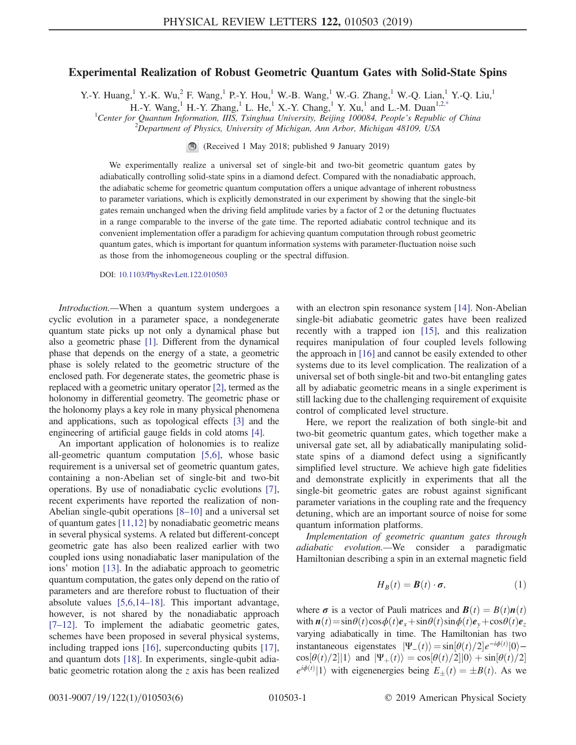## Experimental Realization of Robust Geometric Quantum Gates with Solid-State Spins

<span id="page-0-0"></span>Y.-Y. Huang,<sup>1</sup> Y.-K. Wu,<sup>2</sup> F. Wang,<sup>1</sup> P.-Y. Hou,<sup>1</sup> W.-B. Wang,<sup>1</sup> W.-G. Zhang,<sup>1</sup> W.-Q. Lian,<sup>1</sup> Y.-Q. Liu,<sup>1</sup>

H.-Y. Wang,<sup>1</sup> H.-Y. Zhang,<sup>1</sup> L. He,<sup>1</sup> X.-Y. Chang,<sup>1</sup> Y. Xu,<sup>1</sup> and L.-M. Duan<sup>1,2[,\\*](#page-4-0)</sup>

<sup>1</sup>Center for Quantum Information, IIIS, Tsinghua University, Beijing 100084, People's Republic of China <sup>2</sup> Department of Physics University of Michigan Ann Arbor Michigan 48100, USA

 $^{2}$ Department of Physics, University of Michigan, Ann Arbor, Michigan 48109, USA

(Received 1 May 2018; published 9 January 2019)

We experimentally realize a universal set of single-bit and two-bit geometric quantum gates by adiabatically controlling solid-state spins in a diamond defect. Compared with the nonadiabatic approach, the adiabatic scheme for geometric quantum computation offers a unique advantage of inherent robustness to parameter variations, which is explicitly demonstrated in our experiment by showing that the single-bit gates remain unchanged when the driving field amplitude varies by a factor of 2 or the detuning fluctuates in a range comparable to the inverse of the gate time. The reported adiabatic control technique and its convenient implementation offer a paradigm for achieving quantum computation through robust geometric quantum gates, which is important for quantum information systems with parameter-fluctuation noise such as those from the inhomogeneous coupling or the spectral diffusion.

DOI: [10.1103/PhysRevLett.122.010503](https://doi.org/10.1103/PhysRevLett.122.010503)

Introduction.—When a quantum system undergoes a cyclic evolution in a parameter space, a nondegenerate quantum state picks up not only a dynamical phase but also a geometric phase [\[1\].](#page-4-1) Different from the dynamical phase that depends on the energy of a state, a geometric phase is solely related to the geometric structure of the enclosed path. For degenerate states, the geometric phase is replaced with a geometric unitary operator [\[2\]](#page-4-2), termed as the holonomy in differential geometry. The geometric phase or the holonomy plays a key role in many physical phenomena and applications, such as topological effects [\[3\]](#page-4-3) and the engineering of artificial gauge fields in cold atoms [\[4\]](#page-4-4).

An important application of holonomies is to realize all-geometric quantum computation [\[5,6\]](#page-4-5), whose basic requirement is a universal set of geometric quantum gates, containing a non-Abelian set of single-bit and two-bit operations. By use of nonadiabatic cyclic evolutions [\[7\]](#page-4-6), recent experiments have reported the realization of non-Abelian single-qubit operations [8–[10\]](#page-4-7) and a universal set of quantum gates [\[11,12\]](#page-4-8) by nonadiabatic geometric means in several physical systems. A related but different-concept geometric gate has also been realized earlier with two coupled ions using nonadiabatic laser manipulation of the ions' motion [\[13\].](#page-4-9) In the adiabatic approach to geometric quantum computation, the gates only depend on the ratio of parameters and are therefore robust to fluctuation of their absolute values [\[5,6,14](#page-4-5)–18]. This important advantage, however, is not shared by the nonadiabatic approach [7–[12\].](#page-4-6) To implement the adiabatic geometric gates, schemes have been proposed in several physical systems, including trapped ions [\[16\],](#page-4-10) superconducting qubits [\[17\]](#page-4-11), and quantum dots [\[18\].](#page-4-12) In experiments, single-qubit adiabatic geometric rotation along the z axis has been realized

with an electron spin resonance system [\[14\]](#page-4-13). Non-Abelian single-bit adiabatic geometric gates have been realized recently with a trapped ion [\[15\],](#page-4-14) and this realization requires manipulation of four coupled levels following the approach in [\[16\]](#page-4-10) and cannot be easily extended to other systems due to its level complication. The realization of a universal set of both single-bit and two-bit entangling gates all by adiabatic geometric means in a single experiment is still lacking due to the challenging requirement of exquisite control of complicated level structure.

Here, we report the realization of both single-bit and two-bit geometric quantum gates, which together make a universal gate set, all by adiabatically manipulating solidstate spins of a diamond defect using a significantly simplified level structure. We achieve high gate fidelities and demonstrate explicitly in experiments that all the single-bit geometric gates are robust against significant parameter variations in the coupling rate and the frequency detuning, which are an important source of noise for some quantum information platforms.

Implementation of geometric quantum gates through adiabatic evolution.—We consider a paradigmatic Hamiltonian describing a spin in an external magnetic field

$$
H_B(t) = \boldsymbol{B}(t) \cdot \boldsymbol{\sigma},\tag{1}
$$

where  $\sigma$  is a vector of Pauli matrices and  $\mathbf{B}(t) = \mathbf{B}(t)\mathbf{n}(t)$ with  $n(t) = \sin\theta(t)\cos\phi(t)e_x + \sin\theta(t)\sin\phi(t)e_y + \cos\theta(t)e_z$ varying adiabatically in time. The Hamiltonian has two instantaneous eigenstates  $|\Psi_-(t)\rangle = \sin[\theta(t)/2]e^{-i\phi(t)}|0\rangle - \cos[\theta(t)/2]|1\rangle$  and  $|\Psi_+(t)\rangle = \cos[\theta(t)/2]|0\rangle + \sin[\theta(t)/2|1\rangle$  $\cos[\theta(t)/2][1\rangle$  and  $|\Psi_+(t)\rangle = \cos[\theta(t)/2][0\rangle + \sin[\theta(t)/2]$  $e^{i\phi(t)}|1\rangle$  with eigenenergies being  $E_{\pm}(t) = \pm B(t)$ . As we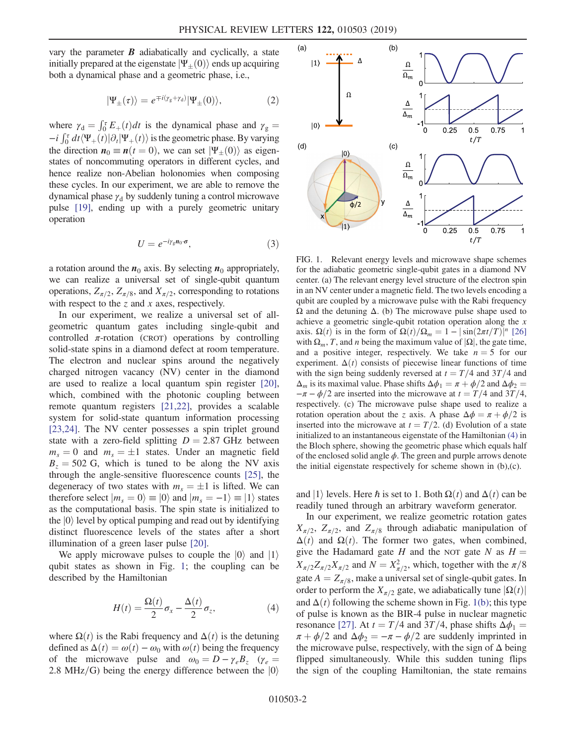vary the parameter  $\boldsymbol{B}$  adiabatically and cyclically, a state initially prepared at the eigenstate  $|\Psi_{+}(0)\rangle$  ends up acquiring both a dynamical phase and a geometric phase, i.e.,

$$
|\Psi_{\pm}(\tau)\rangle = e^{\mp i(\gamma_{g}+\gamma_{d})}|\Psi_{\pm}(0)\rangle, \qquad (2)
$$

where  $\gamma_d = \int_0^{\tau} E_+(t) dt$  is the dynamical phase and  $\gamma_g = i \int_{\tau}^{\tau} dt / W_-(t) \sin W_-(t)$  is the geometric phase. By verying  $-i \int_0^{\tau} dt \langle \Psi_+(t) | \partial_t | \Psi_+(t) \rangle$  is the geometric phase. By varying<br>the direction  $\mathbf{n}_0 = \mathbf{n}(t-0)$ , we can set  $|\Psi_+(0) \rangle$  as eigenthe direction  $n_0 \equiv n(t = 0)$ , we can set  $|\Psi_+(0)\rangle$  as eigenstates of noncommuting operators in different cycles, and hence realize non-Abelian holonomies when composing these cycles. In our experiment, we are able to remove the dynamical phase  $\gamma_d$  by suddenly tuning a control microwave pulse [\[19\]](#page-4-15), ending up with a purely geometric unitary operation

$$
U = e^{-i\gamma_{g}n_{0}\cdot\sigma}, \qquad (3)
$$

<span id="page-1-2"></span>a rotation around the  $n_0$  axis. By selecting  $n_0$  appropriately, we can realize a universal set of single-qubit quantum operations,  $Z_{\pi/2}$ ,  $Z_{\pi/8}$ , and  $X_{\pi/2}$ , corresponding to rotations with respect to the  $z$  and  $x$  axes, respectively.

In our experiment, we realize a universal set of allgeometric quantum gates including single-qubit and controlled  $\pi$ -rotation (CROT) operations by controlling solid-state spins in a diamond defect at room temperature. The electron and nuclear spins around the negatively charged nitrogen vacancy (NV) center in the diamond are used to realize a local quantum spin register [\[20\]](#page-4-16), which, combined with the photonic coupling between remote quantum registers [\[21,22\],](#page-4-17) provides a scalable system for solid-state quantum information processing [\[23,24\]](#page-4-18). The NV center possesses a spin triplet ground state with a zero-field splitting  $D = 2.87$  GHz between  $m_s = 0$  and  $m_s = \pm 1$  states. Under an magnetic field  $B<sub>z</sub> = 502$  G, which is tuned to be along the NV axis through the angle-sensitive fluorescence counts [\[25\]](#page-4-19), the degeneracy of two states with  $m_s = \pm 1$  is lifted. We can therefore select  $|m_s = 0\rangle \equiv |0\rangle$  and  $|m_s = -1\rangle \equiv |1\rangle$  states as the computational basis. The spin state is initialized to the  $|0\rangle$  level by optical pumping and read out by identifying distinct fluorescence levels of the states after a short illumination of a green laser pulse [\[20\].](#page-4-16)

<span id="page-1-1"></span>We apply microwave pulses to couple the  $|0\rangle$  and  $|1\rangle$ qubit states as shown in Fig. [1](#page-1-0); the coupling can be described by the Hamiltonian

$$
H(t) = \frac{\Omega(t)}{2}\sigma_x - \frac{\Delta(t)}{2}\sigma_z, \tag{4}
$$

where  $\Omega(t)$  is the Rabi frequency and  $\Delta(t)$  is the detuning defined as  $\Delta(t) = \omega(t) - \omega_0$  with  $\omega(t)$  being the frequency of the microwave pulse and  $\omega_0 = D - \gamma_e B_z$  ( $\gamma_e =$ 2.8 MHz/G) being the energy difference between the  $|0\rangle$ 

<span id="page-1-0"></span>

FIG. 1. Relevant energy levels and microwave shape schemes for the adiabatic geometric single-qubit gates in a diamond NV center. (a) The relevant energy level structure of the electron spin in an NV center under a magnetic field. The two levels encoding a qubit are coupled by a microwave pulse with the Rabi frequency Ω and the detuning Δ. (b) The microwave pulse shape used to achieve a geometric single-qubit rotation operation along the  $x$ axis.  $\Omega(t)$  is in the form of  $\Omega(t)/\Omega_m = 1 - |\sin(2\pi t/T)|^n$  [\[26\]](#page-4-21) with  $\Omega_m$ , T, and n being the maximum value of  $|\Omega|$ , the gate time, and a positive integer, respectively. We take  $n = 5$  for our experiment.  $\Delta(t)$  consists of piecewise linear functions of time with the sign being suddenly reversed at  $t = T/4$  and 3T/4 and  $\Delta_m$  is its maximal value. Phase shifts  $\Delta\phi_1 = \pi + \phi/2$  and  $\Delta\phi_2 =$  $-\pi - \phi/2$  are inserted into the microwave at  $t = T/4$  and 3T/4, respectively. (c) The microwave pulse shape used to realize a rotation operation about the z axis. A phase  $\Delta \phi = \pi + \phi/2$  is inserted into the microwave at  $t = T/2$ . (d) Evolution of a state initialized to an instantaneous eigenstate of the Hamiltonian [\(4\)](#page-1-1) in the Bloch sphere, showing the geometric phase which equals half of the enclosed solid angle  $\phi$ . The green and purple arrows denote the initial eigenstate respectively for scheme shown in (b),(c).

and |1) levels. Here  $\hbar$  is set to 1. Both  $\Omega(t)$  and  $\Delta(t)$  can be readily tuned through an arbitrary waveform generator.

In our experiment, we realize geometric rotation gates  $X_{\pi/2}$ ,  $Z_{\pi/2}$ , and  $Z_{\pi/8}$  through adiabatic manipulation of  $\Delta(t)$  and  $\Omega(t)$ . The former two gates, when combined, give the Hadamard gate H and the NOT gate N as  $H =$  $X_{\pi/2}Z_{\pi/2}X_{\pi/2}$  and  $N = X_{\pi/2}^2$ , which, together with the  $\pi/8$ gate  $A = Z_{\pi/8}$ , make a universal set of single-qubit gates. In order to perform the  $X_{\pi/2}$  gate, we adiabatically tune  $|\Omega(t)|$ and  $\Delta(t)$  following the scheme shown in Fig. [1\(b\);](#page-1-0) this type of pulse is known as the BIR-4 pulse in nuclear magnetic resonance [\[27\].](#page-4-20) At  $t = T/4$  and 3T/4, phase shifts  $\Delta \phi_1$  =  $\pi + \phi/2$  and  $\Delta \phi_2 = -\pi - \phi/2$  are suddenly imprinted in the microwave pulse, respectively, with the sign of  $\Delta$  being flipped simultaneously. While this sudden tuning flips the sign of the coupling Hamiltonian, the state remains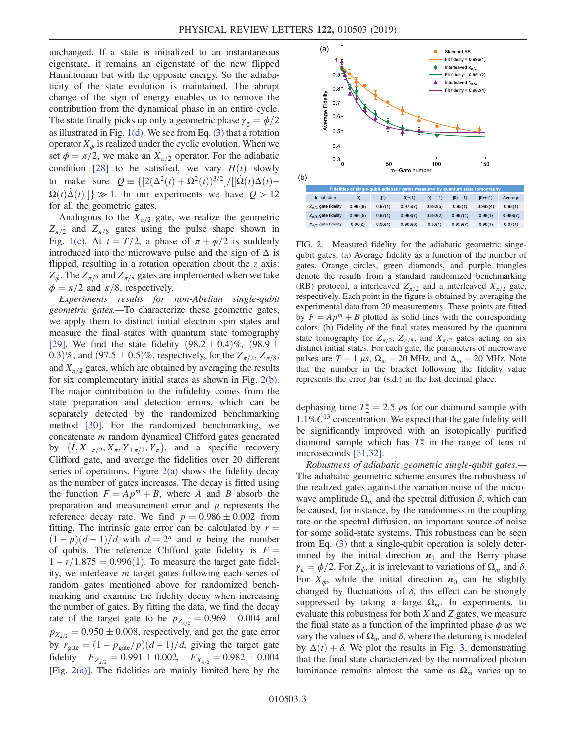unchanged. If a state is initialized to an instantaneous eigenstate, it remains an eigenstate of the new flipped Hamiltonian but with the opposite energy. So the adiabaticity of the state evolution is maintained. The abrupt change of the sign of energy enables us to remove the contribution from the dynamical phase in an entire cycle. The state finally picks up only a geometric phase  $\gamma_{\rm g} = \phi/2$ as illustrated in Fig. [1\(d\)](#page-1-0). We see from Eq. [\(3\)](#page-1-2) that a rotation operator  $X_{\phi}$  is realized under the cyclic evolution. When we set  $\phi = \pi/2$ , we make an  $X_{\pi/2}$  operator. For the adiabatic condition [\[28\]](#page-4-22) to be satisfied, we vary  $H(t)$  slowly to make sure  $Q = \frac{[(2(\Delta^2(t) + \Omega^2(t))^{3/2}]/[|\dot{\Omega}(t)\Delta(t) - \Omega(t)\dot{\Delta}(t)]^{1/2}}{\ln 2}$  $\Omega(t)\dot{\Delta}(t)$ ]  $\gg 1$ . In our experiments we have  $Q > 12$  for all the geometric gates for all the geometric gates.

Analogous to the  $X_{\pi/2}$  gate, we realize the geometric  $Z_{\pi/2}$  and  $Z_{\pi/8}$  gates using the pulse shape shown in Fig. [1\(c\)](#page-1-0). At  $t = T/2$ , a phase of  $\pi + \phi/2$  is suddenly introduced into the microwave pulse and the sign of  $\Delta$  is flipped, resulting in a rotation operation about the  $z$  axis:  $Z_{\phi}$ . The  $Z_{\pi/2}$  and  $Z_{\pi/8}$  gates are implemented when we take  $\phi = \pi/2$  and  $\pi/8$ , respectively.

Experiments results for non-Abelian single-qubit geometric gates.—To characterize these geometric gates, we apply them to distinct initial electron spin states and measure the final states with quantum state tomography [\[29\]](#page-4-23). We find the state fidelity  $(98.2 \pm 0.4)\%$ ,  $(98.9 \pm 0.4)\%$ 0.3)%, and  $(97.5 \pm 0.5)$ %, respectively, for the  $Z_{\pi/2}$ ,  $Z_{\pi/8}$ , and  $X_{\pi/2}$  gates, which are obtained by averaging the results for six complementary initial states as shown in Fig. [2\(b\)](#page-2-0). The major contribution to the infidelity comes from the state preparation and detection errors, which can be separately detected by the randomized benchmarking method [\[30\].](#page-4-24) For the randomized benchmarking, we concatenate m random dynamical Clifford gates generated by  $\{I, X_{\pm \pi/2}, X_{\pi}, Y_{\pm \pi/2}, Y_{\pi}\}\$ , and a specific recovery Clifford gate, and average the fidelities over 20 different series of operations. Figure  $2(a)$  shows the fidelity decay as the number of gates increases. The decay is fitted using the function  $F = Ap^m + B$ , where A and B absorb the preparation and measurement error and  $p$  represents the reference decay rate. We find  $p = 0.986 \pm 0.002$  from fitting. The intrinsic gate error can be calculated by  $r =$  $(1-p)(d-1)/d$  with  $d = 2^n$  and n being the number of qubits. The reference Clifford gate fidelity is  $F =$  $1 - r/1.875 = 0.996(1)$ . To measure the target gate fidelity, we interleave m target gates following each series of random gates mentioned above for randomized benchmarking and examine the fidelity decay when increasing the number of gates. By fitting the data, we find the decay rate of the target gate to be  $p_{Z_{\pi/2}} = 0.969 \pm 0.004$  and  $p_{X_{\pi/2}}=0.950 \pm 0.008$ , respectively, and get the gate error by  $r_{\text{gate}} = (1 - p_{\text{gate}}/p)(d - 1)/d$ , giving the target gate<br>fidelity  $F = 0.991 + 0.002$   $F = 0.982 + 0.004$ fidelity  $F_{Z_{\pi/2}} = 0.991 \pm 0.002$ ,  $F_{X_{\pi/2}} = 0.982 \pm 0.004$ <br>[Fig. 2(a)]. The fidelities are mainly limited here by the [Fig. [2\(a\)\]](#page-2-0). The fidelities are mainly limited here by the

<span id="page-2-0"></span>

FIG. 2. Measured fidelity for the adiabatic geometric singequbit gates. (a) Average fidelity as a function of the number of gates. Orange circles, green diamonds, and purple triangles denote the results from a standard randomized benchmarking (RB) protocol, a interleaved  $Z_{\pi/2}$  and a interleaved  $X_{\pi/2}$  gate, respectively. Each point in the figure is obtained by averaging the experimental data from 20 measurements. These points are fitted by  $F = Ap^m + B$  plotted as solid lines with the corresponding colors. (b) Fidelity of the final states measured by the quantum state tomography for  $Z_{\pi/2}$ ,  $Z_{\pi/8}$ , and  $X_{\pi/2}$  gates acting on six distinct initial states. For each gate, the parameters of microwave pulses are  $T = 1 \mu s$ ,  $\Omega_m = 20 \text{ MHz}$ , and  $\Delta_m = 20 \text{ MHz}$ . Note that the number in the bracket following the fidelity value represents the error bar (s.d.) in the last decimal place.

dephasing time  $T_2^* = 2.5 \mu s$  for our diamond sample with  $1.1\%C^{13}$  concentration. We expect that the gate fidelity will  $1.1\%C^{13}$  concentration. We expect that the gate fidelity will be significantly improved with an isotopically purified diamond sample which has  $T_2^*$  in the range of tens of microseconds [\[31,32\]](#page-5-0).

Robustness of adiabatic geometric single-qubit gates.— The adiabatic geometric scheme ensures the robustness of the realized gates against the variation noise of the microwave amplitude  $\Omega_m$  and the spectral diffusion  $\delta$ , which can be caused, for instance, by the randomness in the coupling rate or the spectral diffusion, an important source of noise for some solid-state systems. This robustness can be seen from Eq. [\(3\)](#page-1-2) that a single-qubit operation is solely determined by the initial direction  $n_0$  and the Berry phase  $\gamma_{\rm g} = \phi/2$ . For  $Z_{\phi}$ , it is irrelevant to variations of  $\Omega_m$  and  $\delta$ . For  $X_{\phi}$ , while the initial direction  $n_0$  can be slightly changed by fluctuations of  $\delta$ , this effect can be strongly suppressed by taking a large  $\Omega_m$ . In experiments, to evaluate this robustness for both  $X$  and  $Z$  gates, we measure the final state as a function of the imprinted phase  $\phi$  as we vary the values of  $\Omega_m$  and  $\delta$ , where the detuning is modeled by  $\Delta(t) + \delta$ . We plot the results in Fig. [3](#page-3-0), demonstrating that the final state characterized by the normalized photon luminance remains almost the same as  $\Omega_m$  varies up to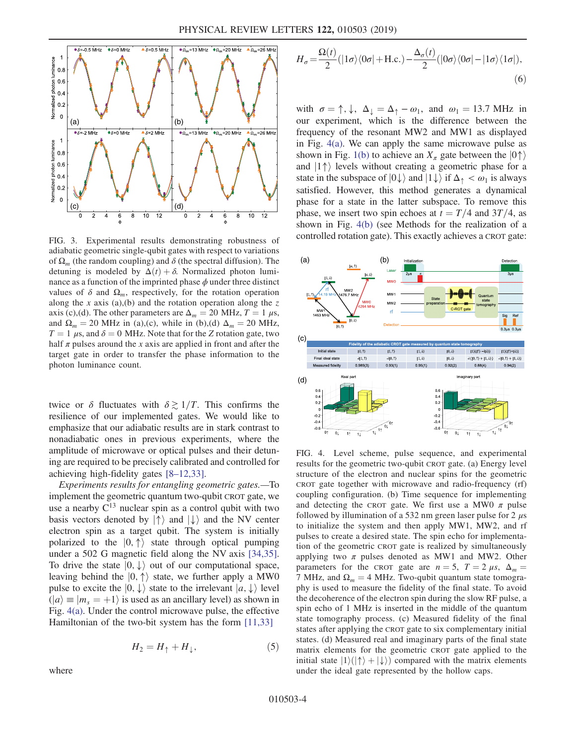<span id="page-3-0"></span>

FIG. 3. Experimental results demonstrating robustness of adiabatic geometric single-qubit gates with respect to variations of  $\Omega_m$  (the random coupling) and  $\delta$  (the spectral diffusion). The detuning is modeled by  $\Delta(t) + \delta$ . Normalized photon luminance as a function of the imprinted phase  $\phi$  under three distinct values of  $\delta$  and  $\Omega_m$ , respectively, for the rotation operation along the x axis (a),(b) and the rotation operation along the z axis (c),(d). The other parameters are  $\Delta_m = 20$  MHz,  $T = 1 \mu s$ , and  $\Omega_m = 20$  MHz in (a),(c), while in (b),(d)  $\Delta_m = 20$  MHz,  $T = 1 \mu s$ , and  $\delta = 0$  MHz. Note that for the Z rotation gate, two half  $\pi$  pulses around the x axis are applied in front and after the target gate in order to transfer the phase information to the photon luminance count.

twice or  $\delta$  fluctuates with  $\delta \gtrsim 1/T$ . This confirms the resilience of our implemented gates. We would like to emphasize that our adiabatic results are in stark contrast to nonadiabatic ones in previous experiments, where the amplitude of microwave or optical pulses and their detuning are required to be precisely calibrated and controlled for achieving high-fidelity gates [8–[12,33\].](#page-4-7)

Experiments results for entangling geometric gates.—To implement the geometric quantum two-qubit CROT gate, we use a nearby  $C^{13}$  nuclear spin as a control qubit with two basis vectors denoted by  $|\uparrow\rangle$  and  $|\downarrow\rangle$  and the NV center electron spin as a target qubit. The system is initially polarized to the  $|0, \uparrow\rangle$  state through optical pumping under a 502 G magnetic field along the NV axis [\[34,35\]](#page-5-1). To drive the state  $|0, \downarrow\rangle$  out of our computational space, leaving behind the  $|0, \uparrow\rangle$  state, we further apply a MW0 pulse to excite the  $|0, \downarrow\rangle$  state to the irrelevant  $|a, \downarrow\rangle$  level  $\langle \vert a \rangle \equiv \vert m_s = +1 \rangle$  is used as an ancillary level) as shown in Fig. [4\(a\).](#page-3-1) Under the control microwave pulse, the effective Hamiltonian of the two-bit system has the form [\[11,33\]](#page-4-8)

$$
H_2 = H_\uparrow + H_\downarrow, \tag{5}
$$

where

$$
H_{\sigma} = \frac{\Omega(t)}{2} (|1\sigma\rangle\langle0\sigma| + \text{H.c.}) - \frac{\Delta_{\sigma}(t)}{2} (|0\sigma\rangle\langle0\sigma| - |1\sigma\rangle\langle1\sigma|),
$$
\n(6)

with  $\sigma = \uparrow, \downarrow, \Delta_{\downarrow} = \Delta_{\uparrow} - \omega_1$ , and  $\omega_1 = 13.7 \text{ MHz}$  in our experiment, which is the difference between the frequency of the resonant MW2 and MW1 as displayed in Fig. [4\(a\)](#page-3-1). We can apply the same microwave pulse as shown in Fig. [1\(b\)](#page-1-0) to achieve an  $X_\pi$  gate between the  $|0\uparrow\rangle$ and  $|1\uparrow\rangle$  levels without creating a geometric phase for a state in the subspace of  $|0\downarrow\rangle$  and  $|1\downarrow\rangle$  if  $\Delta_{\uparrow} < \omega_1$  is always satisfied. However, this method generates a dynamical phase for a state in the latter subspace. To remove this phase, we insert two spin echoes at  $t = T/4$  and 3T/4, as shown in Fig. [4\(b\)](#page-3-1) (see Methods for the realization of a controlled rotation gate). This exactly achieves a CROT gate:

<span id="page-3-1"></span>

FIG. 4. Level scheme, pulse sequence, and experimental results for the geometric two-qubit CROT gate. (a) Energy level structure of the electron and nuclear spins for the geometric CROT gate together with microwave and radio-frequency (rf) coupling configuration. (b) Time sequence for implementing and detecting the CROT gate. We first use a MW0  $\pi$  pulse followed by illumination of a 532 nm green laser pulse for 2  $\mu$ s to initialize the system and then apply MW1, MW2, and rf pulses to create a desired state. The spin echo for implementation of the geometric CROT gate is realized by simultaneously applying two  $\pi$  pulses denoted as MW1 and MW2. Other parameters for the CROT gate are  $n = 5$ ,  $T = 2 \mu s$ ,  $\Delta_m =$ 7 MHz, and  $\Omega_m = 4$  MHz. Two-qubit quantum state tomography is used to measure the fidelity of the final state. To avoid the decoherence of the electron spin during the slow RF pulse, a spin echo of 1 MHz is inserted in the middle of the quantum state tomography process. (c) Measured fidelity of the final states after applying the CROT gate to six complementary initial states. (d) Measured real and imaginary parts of the final state matrix elements for the geometric CROT gate applied to the initial state  $|1\rangle(|\uparrow\rangle + |\downarrow\rangle)$  compared with the matrix elements under the ideal gate represented by the hollow caps.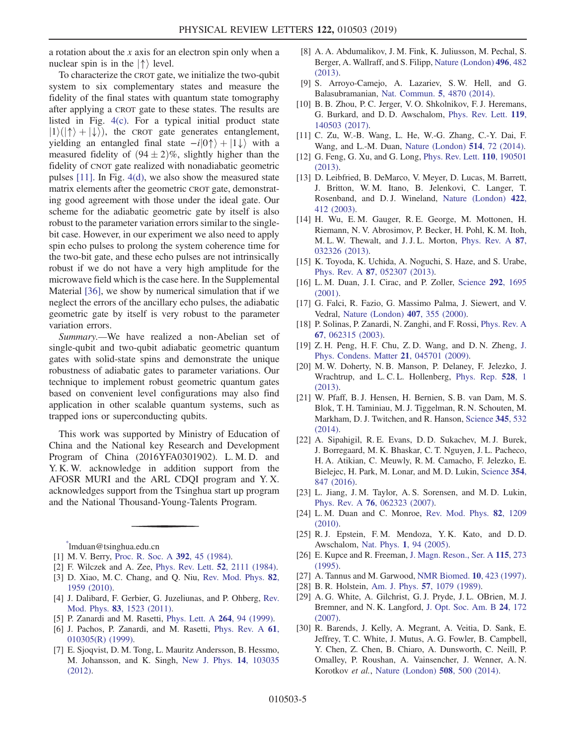a rotation about the  $x$  axis for an electron spin only when a nuclear spin is in the  $|\uparrow\rangle$  level.

To characterize the CROT gate, we initialize the two-qubit system to six complementary states and measure the fidelity of the final states with quantum state tomography after applying a CROT gate to these states. The results are listed in Fig. [4\(c\).](#page-3-1) For a typical initial product state  $|1\rangle(|\uparrow\rangle + |\downarrow\rangle)$ , the CROT gate generates entanglement, yielding an entangled final state  $-i|0\uparrow\rangle + |1\downarrow\rangle$  with a measured fidelity of  $(94 \pm 2)\%$ , slightly higher than the fidelity of CNOT gate realized with nonadiabatic geometric pulses [\[11\]](#page-4-8). In Fig. [4\(d\)](#page-3-1), we also show the measured state matrix elements after the geometric CROT gate, demonstrating good agreement with those under the ideal gate. Our scheme for the adiabatic geometric gate by itself is also robust to the parameter variation errors similar to the singlebit case. However, in our experiment we also need to apply spin echo pulses to prolong the system coherence time for the two-bit gate, and these echo pulses are not intrinsically robust if we do not have a very high amplitude for the microwave field which is the case here. In the Supplemental Material [\[36\]](#page-5-2), we show by numerical simulation that if we neglect the errors of the ancillary echo pulses, the adiabatic geometric gate by itself is very robust to the parameter variation errors.

Summary.—We have realized a non-Abelian set of single-qubit and two-qubit adiabatic geometric quantum gates with solid-state spins and demonstrate the unique robustness of adiabatic gates to parameter variations. Our technique to implement robust geometric quantum gates based on convenient level configurations may also find application in other scalable quantum systems, such as trapped ions or superconducting qubits.

This work was supported by Ministry of Education of China and the National key Research and Development Program of China (2016YFA0301902). L. M. D. and Y. K. W. acknowledge in addition support from the AFOSR MURI and the ARL CDQI program and Y. X. acknowledges support from the Tsinghua start up program and the National Thousand-Young-Talents Program.

<span id="page-4-1"></span><span id="page-4-0"></span>[\\*](#page-0-0) lmduan@tsinghua.edu.cn

- <span id="page-4-2"></span>[1] M. V. Berry, [Proc. R. Soc. A](https://doi.org/10.1098/rspa.1984.0023) 392, 45 (1984).
- <span id="page-4-3"></span>[2] F. Wilczek and A. Zee, [Phys. Rev. Lett.](https://doi.org/10.1103/PhysRevLett.52.2111) 52, 2111 (1984).
- <span id="page-4-4"></span>[3] D. Xiao, M. C. Chang, and Q. Niu, [Rev. Mod. Phys.](https://doi.org/10.1103/RevModPhys.82.1959) 82, [1959 \(2010\)](https://doi.org/10.1103/RevModPhys.82.1959).
- <span id="page-4-5"></span>[4] J. Dalibard, F. Gerbier, G. Juzeliunas, and P. Ohberg, [Rev.](https://doi.org/10.1103/RevModPhys.83.1523) Mod. Phys. 83[, 1523 \(2011\)](https://doi.org/10.1103/RevModPhys.83.1523).
- [5] P. Zanardi and M. Rasetti, [Phys. Lett. A](https://doi.org/10.1016/S0375-9601(99)00803-8) **264**, 94 (1999).
- <span id="page-4-6"></span>[6] J. Pachos, P. Zanardi, and M. Rasetti, [Phys. Rev. A](https://doi.org/10.1103/PhysRevA.61.010305) 61, [010305\(R\) \(1999\)](https://doi.org/10.1103/PhysRevA.61.010305).
- [7] E. Sjoqvist, D. M. Tong, L. Mauritz Andersson, B. Hessmo, M. Johansson, and K. Singh, [New J. Phys.](https://doi.org/10.1088/1367-2630/14/10/103035) 14, 103035 [\(2012\).](https://doi.org/10.1088/1367-2630/14/10/103035)
- <span id="page-4-7"></span>[8] A. A. Abdumalikov, J. M. Fink, K. Juliusson, M. Pechal, S. Berger, A. Wallraff, and S. Filipp, [Nature \(London\)](https://doi.org/10.1038/nature12010) 496, 482 [\(2013\).](https://doi.org/10.1038/nature12010)
- [9] S. Arroyo-Camejo, A. Lazariev, S. W. Hell, and G. Balasubramanian, [Nat. Commun.](https://doi.org/10.1038/ncomms5870) 5, 4870 (2014).
- [10] B. B. Zhou, P. C. Jerger, V. O. Shkolnikov, F. J. Heremans, G. Burkard, and D. D. Awschalom, [Phys. Rev. Lett.](https://doi.org/10.1103/PhysRevLett.119.140503) 119, [140503 \(2017\).](https://doi.org/10.1103/PhysRevLett.119.140503)
- <span id="page-4-8"></span>[11] C. Zu, W.-B. Wang, L. He, W.-G. Zhang, C.-Y. Dai, F. Wang, and L.-M. Duan, [Nature \(London\)](https://doi.org/10.1038/nature13729) 514, 72 (2014).
- [12] G. Feng, G. Xu, and G. Long, *[Phys. Rev. Lett.](https://doi.org/10.1103/PhysRevLett.110.190501)* **110**, 190501 [\(2013\).](https://doi.org/10.1103/PhysRevLett.110.190501)
- <span id="page-4-9"></span>[13] D. Leibfried, B. DeMarco, V. Meyer, D. Lucas, M. Barrett, J. Britton, W. M. Itano, B. Jelenkovi, C. Langer, T. Rosenband, and D. J. Wineland, [Nature \(London\)](https://doi.org/10.1038/nature01492) 422, [412 \(2003\)](https://doi.org/10.1038/nature01492).
- <span id="page-4-13"></span>[14] H. Wu, E. M. Gauger, R. E. George, M. Mottonen, H. Riemann, N. V. Abrosimov, P. Becker, H. Pohl, K. M. Itoh, M. L. W. Thewalt, and J. J. L. Morton, [Phys. Rev. A](https://doi.org/10.1103/PhysRevA.87.032326) 87, [032326 \(2013\).](https://doi.org/10.1103/PhysRevA.87.032326)
- <span id="page-4-14"></span>[15] K. Toyoda, K. Uchida, A. Noguchi, S. Haze, and S. Urabe, Phys. Rev. A 87[, 052307 \(2013\)](https://doi.org/10.1103/PhysRevA.87.052307).
- <span id="page-4-10"></span>[16] L. M. Duan, J. I. Cirac, and P. Zoller, [Science](https://doi.org/10.1126/science.1058835) 292, 1695 [\(2001\).](https://doi.org/10.1126/science.1058835)
- <span id="page-4-11"></span>[17] G. Falci, R. Fazio, G. Massimo Palma, J. Siewert, and V. Vedral, [Nature \(London\)](https://doi.org/10.1038/35030052) 407, 355 (2000).
- <span id="page-4-12"></span>[18] P. Solinas, P. Zanardi, N. Zanghi, and F. Rossi, [Phys. Rev. A](https://doi.org/10.1103/PhysRevA.67.062315) 67[, 062315 \(2003\).](https://doi.org/10.1103/PhysRevA.67.062315)
- <span id="page-4-15"></span>[19] Z. H. Peng, H. F. Chu, Z. D. Wang, and D. N. Zheng, [J.](https://doi.org/10.1088/0953-8984/21/4/045701) [Phys. Condens. Matter](https://doi.org/10.1088/0953-8984/21/4/045701) 21, 045701 (2009).
- <span id="page-4-16"></span>[20] M. W. Doherty, N. B. Manson, P. Delaney, F. Jelezko, J. Wrachtrup, and L. C. L. Hollenberg, [Phys. Rep.](https://doi.org/10.1016/j.physrep.2013.02.001) 528, 1 [\(2013\).](https://doi.org/10.1016/j.physrep.2013.02.001)
- <span id="page-4-17"></span>[21] W. Pfaff, B. J. Hensen, H. Bernien, S. B. van Dam, M. S. Blok, T. H. Taminiau, M. J. Tiggelman, R. N. Schouten, M. Markham, D. J. Twitchen, and R. Hanson, [Science](https://doi.org/10.1126/science.1253512) 345, 532 [\(2014\).](https://doi.org/10.1126/science.1253512)
- [22] A. Sipahigil, R. E. Evans, D. D. Sukachev, M. J. Burek, J. Borregaard, M. K. Bhaskar, C. T. Nguyen, J. L. Pacheco, H. A. Atikian, C. Meuwly, R. M. Camacho, F. Jelezko, E. Bielejec, H. Park, M. Lonar, and M. D. Lukin, [Science](https://doi.org/10.1126/science.aah6875) 354, [847 \(2016\)](https://doi.org/10.1126/science.aah6875).
- <span id="page-4-18"></span>[23] L. Jiang, J. M. Taylor, A. S. Sorensen, and M. D. Lukin, Phys. Rev. A 76[, 062323 \(2007\)](https://doi.org/10.1103/PhysRevA.76.062323).
- <span id="page-4-19"></span>[24] L. M. Duan and C. Monroe, [Rev. Mod. Phys.](https://doi.org/10.1103/RevModPhys.82.1209) 82, 1209 [\(2010\).](https://doi.org/10.1103/RevModPhys.82.1209)
- [25] R. J. Epstein, F. M. Mendoza, Y. K. Kato, and D. D. Awschalom, Nat. Phys. 1[, 94 \(2005\).](https://doi.org/10.1038/nphys141)
- <span id="page-4-21"></span><span id="page-4-20"></span>[26] E. Kupce and R. Freeman, [J. Magn. Reson., Ser. A](https://doi.org/10.1006/jmra.1995.1179) 115, 273 [\(1995\).](https://doi.org/10.1006/jmra.1995.1179)
- <span id="page-4-22"></span>[27] A. Tannus and M. Garwood, [NMR Biomed.](https://doi.org/10.1002/(SICI)1099-1492(199712)10:8%3C423::AID-NBM488%3E3.0.CO;2-X) **10**, 423 (1997).
- <span id="page-4-23"></span>[28] B. R. Holstein, Am. J. Phys. 57[, 1079 \(1989\)](https://doi.org/10.1119/1.15793).
- [29] A. G. White, A. Gilchrist, G. J. Pryde, J. L. OBrien, M. J. Bremner, and N. K. Langford, [J. Opt. Soc. Am. B](https://doi.org/10.1364/JOSAB.24.000172) 24, 172 [\(2007\).](https://doi.org/10.1364/JOSAB.24.000172)
- <span id="page-4-24"></span>[30] R. Barends, J. Kelly, A. Megrant, A. Veitia, D. Sank, E. Jeffrey, T. C. White, J. Mutus, A. G. Fowler, B. Campbell, Y. Chen, Z. Chen, B. Chiaro, A. Dunsworth, C. Neill, P. Omalley, P. Roushan, A. Vainsencher, J. Wenner, A. N. Korotkov et al., [Nature \(London\)](https://doi.org/10.1038/nature13171) 508, 500 (2014).